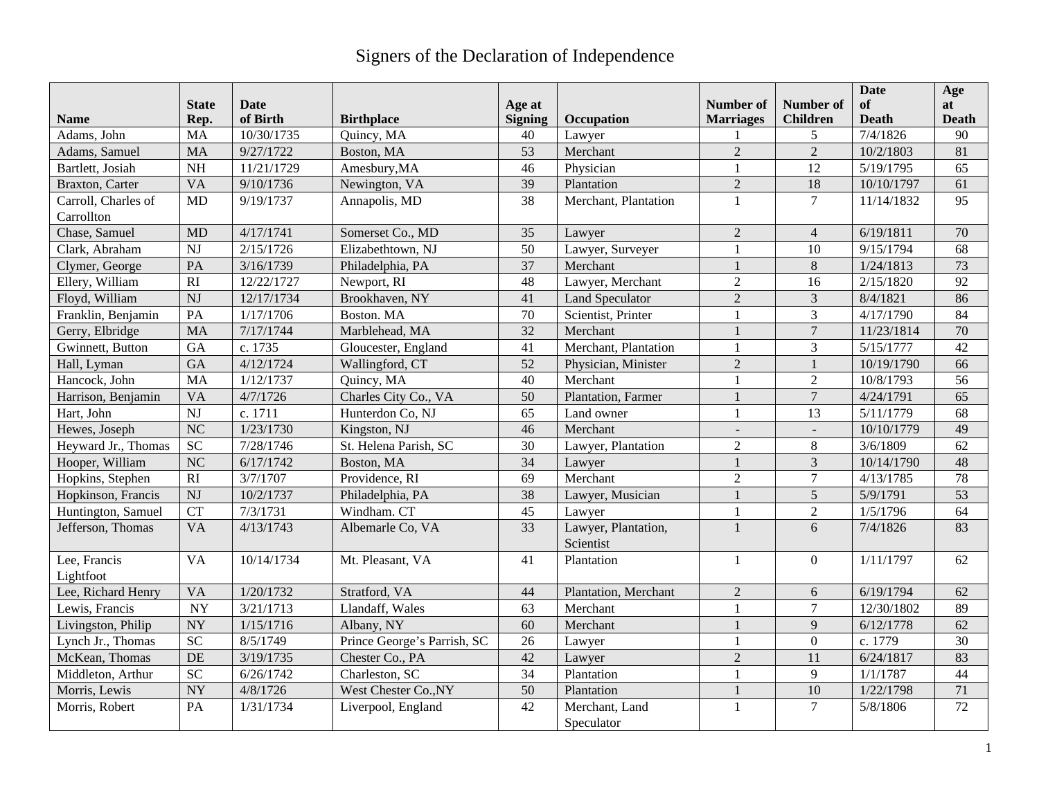## Signers of the Declaration of Independence

|                                   |                        |             |                             |                 |                              |                  |                     | <b>Date</b>  | Age             |
|-----------------------------------|------------------------|-------------|-----------------------------|-----------------|------------------------------|------------------|---------------------|--------------|-----------------|
|                                   | <b>State</b>           | <b>Date</b> |                             | Age at          |                              | <b>Number of</b> | <b>Number of</b>    | of           | at              |
| <b>Name</b>                       | Rep.                   | of Birth    | <b>Birthplace</b>           | <b>Signing</b>  | Occupation                   | <b>Marriages</b> | <b>Children</b>     | <b>Death</b> | Death           |
| Adams, John                       | <b>MA</b>              | 10/30/1735  | Quincy, MA                  | 40              | Lawyer                       |                  | 5<br>$\overline{2}$ | 7/4/1826     | 90              |
| Adams, Samuel                     | <b>MA</b>              | 9/27/1722   | Boston, MA                  | $\overline{53}$ | Merchant                     | $\overline{2}$   |                     | 10/2/1803    | 81              |
| Bartlett, Josiah                  | <b>NH</b>              | 11/21/1729  | Amesbury, MA                | 46              | Physician                    | $\mathbf{1}$     | 12                  | 5/19/1795    | 65              |
| Braxton, Carter                   | <b>VA</b>              | 9/10/1736   | Newington, VA               | 39              | Plantation                   | $\overline{2}$   | 18                  | 10/10/1797   | 61              |
| Carroll, Charles of<br>Carrollton | <b>MD</b>              | 9/19/1737   | Annapolis, MD               | 38              | Merchant, Plantation         | $\mathbf{1}$     | $\overline{7}$      | 11/14/1832   | 95              |
| Chase, Samuel                     | <b>MD</b>              | 4/17/1741   | Somerset Co., MD            | 35              | Lawyer                       | $\mathbf{2}$     | $\overline{4}$      | 6/19/1811    | 70              |
| Clark, Abraham                    | <b>NJ</b>              | 2/15/1726   | Elizabethtown, NJ           | 50              | Lawyer, Surveyer             | $\mathbf{1}$     | 10                  | 9/15/1794    | 68              |
| Clymer, George                    | PA                     | 3/16/1739   | Philadelphia, PA            | 37              | Merchant                     |                  | $\,8\,$             | 1/24/1813    | 73              |
| Ellery, William                   | RI                     | 12/22/1727  | Newport, RI                 | 48              | Lawyer, Merchant             | $\overline{2}$   | 16                  | 2/15/1820    | 92              |
| Floyd, William                    | <b>NJ</b>              | 12/17/1734  | Brookhaven, NY              | 41              | Land Speculator              | $\overline{2}$   | $\overline{3}$      | 8/4/1821     | 86              |
| Franklin, Benjamin                | PA                     | 1/17/1706   | Boston, MA                  | 70              | Scientist, Printer           | $\mathbf{1}$     | $\overline{3}$      | 4/17/1790    | 84              |
| Gerry, Elbridge                   | <b>MA</b>              | 7/17/1744   | Marblehead, MA              | $\overline{32}$ | Merchant                     | $\mathbf{1}$     | $\overline{7}$      | 11/23/1814   | 70              |
| Gwinnett, Button                  | GA                     | c. 1735     | Gloucester, England         | 41              | Merchant, Plantation         | $\mathbf{1}$     | $\overline{3}$      | 5/15/1777    | 42              |
| Hall, Lyman                       | GA                     | 4/12/1724   | Wallingford, CT             | 52              | Physician, Minister          | $\overline{2}$   | $\mathbf{1}$        | 10/19/1790   | 66              |
| Hancock, John                     | <b>MA</b>              | 1/12/1737   | Quincy, MA                  | 40              | Merchant                     | $\mathbf{1}$     | $\mathfrak{2}$      | 10/8/1793    | 56              |
| Harrison, Benjamin                | <b>VA</b>              | 4/7/1726    | Charles City Co., VA        | 50              | Plantation, Farmer           | $\mathbf{1}$     | $\overline{7}$      | 4/24/1791    | 65              |
| Hart, John                        | <b>NJ</b>              | c. 1711     | Hunterdon Co, NJ            | 65              | Land owner                   | $\mathbf{1}$     | 13                  | 5/11/1779    | 68              |
| Hewes, Joseph                     | $\overline{\text{NC}}$ | 1/23/1730   | Kingston, NJ                | 46              | Merchant                     |                  | $\overline{a}$      | 10/10/1779   | 49              |
| Heyward Jr., Thomas               | $\overline{SC}$        | 7/28/1746   | St. Helena Parish, SC       | 30              | Lawyer, Plantation           | $\overline{2}$   | 8                   | 3/6/1809     | 62              |
| Hooper, William                   | $\overline{\text{NC}}$ | 6/17/1742   | Boston, MA                  | 34              | Lawyer                       | $\mathbf{1}$     | $\overline{3}$      | 10/14/1790   | 48              |
| Hopkins, Stephen                  | RI                     | 3/7/1707    | Providence, RI              | 69              | Merchant                     | $\overline{2}$   | $\tau$              | 4/13/1785    | 78              |
| Hopkinson, Francis                | <b>NJ</b>              | 10/2/1737   | Philadelphia, PA            | 38              | Lawyer, Musician             |                  | 5                   | 5/9/1791     | 53              |
| Huntington, Samuel                | CT                     | 7/3/1731    | Windham. CT                 | 45              | Lawyer                       | $\mathbf{1}$     | $\overline{2}$      | 1/5/1796     | 64              |
| Jefferson, Thomas                 | <b>VA</b>              | 4/13/1743   | Albemarle Co, VA            | 33              | Lawyer, Plantation,          | $\mathbf{1}$     | 6                   | 7/4/1826     | 83              |
|                                   |                        |             |                             |                 | Scientist                    |                  |                     |              |                 |
| Lee, Francis<br>Lightfoot         | VA                     | 10/14/1734  | Mt. Pleasant, VA            | 41              | Plantation                   | $\mathbf{1}$     | $\overline{0}$      | 1/11/1797    | 62              |
| Lee, Richard Henry                | <b>VA</b>              | 1/20/1732   | Stratford, VA               | 44              | Plantation, Merchant         | $\overline{2}$   | 6                   | 6/19/1794    | 62              |
| Lewis, Francis                    | <b>NY</b>              | 3/21/1713   | Llandaff, Wales             | 63              | Merchant                     | $\mathbf{1}$     | $\overline{7}$      | 12/30/1802   | 89              |
| Livingston, Philip                | <b>NY</b>              | 1/15/1716   | Albany, NY                  | 60              | Merchant                     | $\mathbf{1}$     | 9                   | 6/12/1778    | 62              |
| Lynch Jr., Thomas                 | <b>SC</b>              | 8/5/1749    | Prince George's Parrish, SC | 26              | Lawyer                       | $\mathbf{1}$     | $\mathbf{0}$        | c. 1779      | 30              |
| McKean, Thomas                    | DE                     | 3/19/1735   | Chester Co., PA             | 42              | Lawyer                       | $\overline{2}$   | 11                  | 6/24/1817    | 83              |
| Middleton, Arthur                 | <b>SC</b>              | 6/26/1742   | Charleston, SC              | $\overline{34}$ | Plantation                   | $\mathbf{1}$     | 9                   | 1/1/1787     | 44              |
| Morris, Lewis                     | <b>NY</b>              | 4/8/1726    | West Chester Co., NY        | 50              | Plantation                   |                  | $10\,$              | 1/22/1798    | 71              |
| Morris, Robert                    | PA                     | 1/31/1734   | Liverpool, England          | 42              | Merchant, Land<br>Speculator | $\mathbf{1}$     | $\overline{7}$      | 5/8/1806     | $\overline{72}$ |